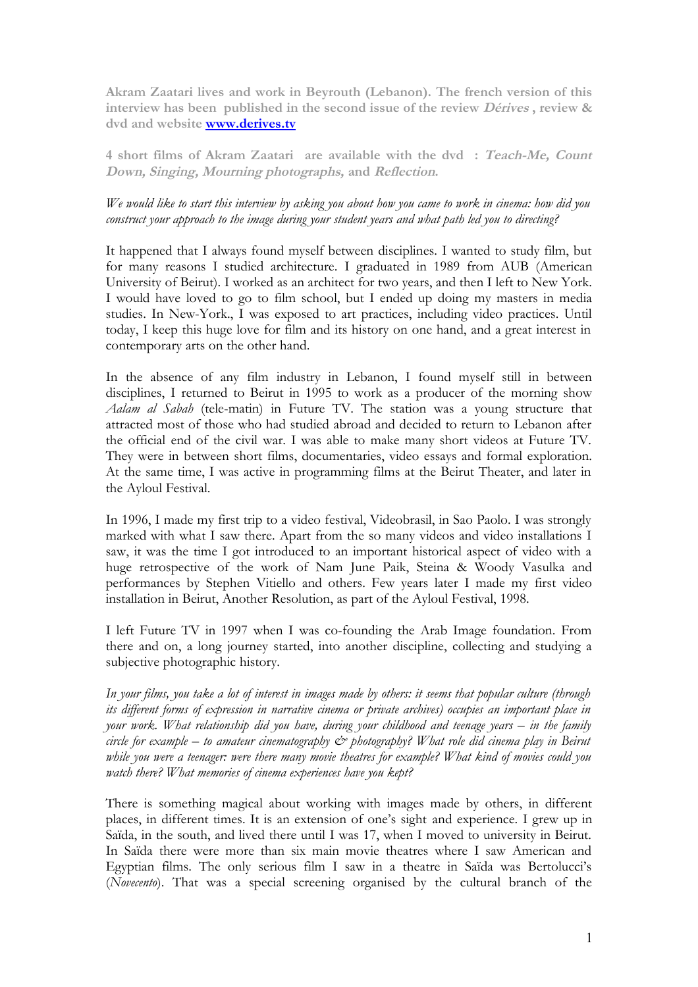**Akram Zaatari lives and work in Beyrouth (Lebanon). The french version of this interview has been published in the second issue of the review Dérives , review & dvd and website [www.derives.tv](http://www.derives.tv/)**

**4 short films of Akram Zaatari are available with the dvd : Teach-Me, Count Down, Singing, Mourning photographs, and Reflection.**

## *We would like to start this interview by asking you about how you came to work in cinema: how did you construct your approach to the image during your student years and what path led you to directing?*

It happened that I always found myself between disciplines. I wanted to study film, but for many reasons I studied architecture. I graduated in 1989 from AUB (American University of Beirut). I worked as an architect for two years, and then I left to New York. I would have loved to go to film school, but I ended up doing my masters in media studies. In New-York., I was exposed to art practices, including video practices. Until today, I keep this huge love for film and its history on one hand, and a great interest in contemporary arts on the other hand.

In the absence of any film industry in Lebanon, I found myself still in between disciplines, I returned to Beirut in 1995 to work as a producer of the morning show *Aalam al Sabah* (tele-matin) in Future TV. The station was a young structure that attracted most of those who had studied abroad and decided to return to Lebanon after the official end of the civil war. I was able to make many short videos at Future TV. They were in between short films, documentaries, video essays and formal exploration. At the same time, I was active in programming films at the Beirut Theater, and later in the Ayloul Festival.

In 1996, I made my first trip to a video festival, Videobrasil, in Sao Paolo. I was strongly marked with what I saw there. Apart from the so many videos and video installations I saw, it was the time I got introduced to an important historical aspect of video with a huge retrospective of the work of Nam June Paik, Steina & Woody Vasulka and performances by Stephen Vitiello and others. Few years later I made my first video installation in Beirut, Another Resolution, as part of the Ayloul Festival, 1998.

I left Future TV in 1997 when I was co-founding the Arab Image foundation. From there and on, a long journey started, into another discipline, collecting and studying a subjective photographic history.

*In your films, you take a lot of interest in images made by others: it seems that popular culture (through its different forms of expression in narrative cinema or private archives) occupies an important place in your work. What relationship did you have, during your childhood and teenage years – in the family circle for example – to amateur cinematography & photography? What role did cinema play in Beirut while you were a teenager: were there many movie theatres for example? What kind of movies could you watch there? What memories of cinema experiences have you kept?*

There is something magical about working with images made by others, in different places, in different times. It is an extension of one's sight and experience. I grew up in Saïda, in the south, and lived there until I was 17, when I moved to university in Beirut. In Saïda there were more than six main movie theatres where I saw American and Egyptian films. The only serious film I saw in a theatre in Saïda was Bertolucci's (*Novecento*). That was a special screening organised by the cultural branch of the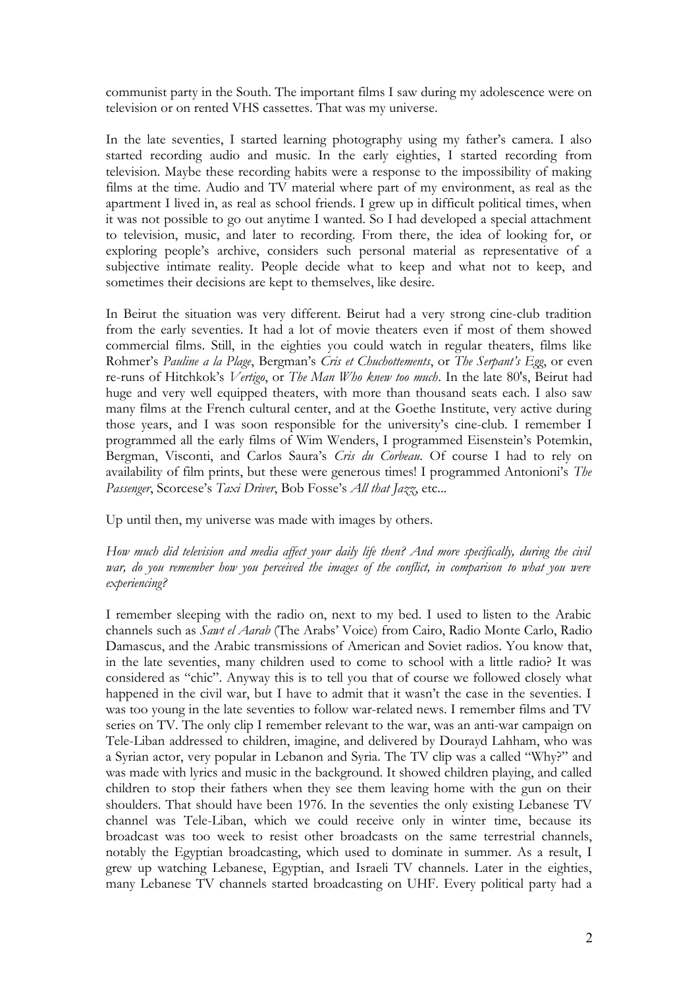communist party in the South. The important films I saw during my adolescence were on television or on rented VHS cassettes. That was my universe.

In the late seventies, I started learning photography using my father's camera. I also started recording audio and music. In the early eighties, I started recording from television. Maybe these recording habits were a response to the impossibility of making films at the time. Audio and TV material where part of my environment, as real as the apartment I lived in, as real as school friends. I grew up in difficult political times, when it was not possible to go out anytime I wanted. So I had developed a special attachment to television, music, and later to recording. From there, the idea of looking for, or exploring people's archive, considers such personal material as representative of a subjective intimate reality. People decide what to keep and what not to keep, and sometimes their decisions are kept to themselves, like desire.

In Beirut the situation was very different. Beirut had a very strong cine-club tradition from the early seventies. It had a lot of movie theaters even if most of them showed commercial films. Still, in the eighties you could watch in regular theaters, films like Rohmer's *Pauline a la Plage*, Bergman's *Cris et Chuchottements*, or *The Serpant's Egg*, or even re-runs of Hitchkok's *Vertigo*, or *The Man Who knew too much*. In the late 80's, Beirut had huge and very well equipped theaters, with more than thousand seats each. I also saw many films at the French cultural center, and at the Goethe Institute, very active during those years, and I was soon responsible for the university's cine-club. I remember I programmed all the early films of Wim Wenders, I programmed Eisenstein's Potemkin, Bergman, Visconti, and Carlos Saura's *Cris du Corbeau*. Of course I had to rely on availability of film prints, but these were generous times! I programmed Antonioni's *The Passenger*, Scorcese's *Taxi Driver*, Bob Fosse's *All that Jazz*, etc...

Up until then, my universe was made with images by others.

*How much did television and media affect your daily life then? And more specifically, during the civil war, do you remember how you perceived the images of the conflict, in comparison to what you were experiencing?* 

I remember sleeping with the radio on, next to my bed. I used to listen to the Arabic channels such as *Sawt el Aarab* (The Arabs' Voice) from Cairo, Radio Monte Carlo, Radio Damascus, and the Arabic transmissions of American and Soviet radios. You know that, in the late seventies, many children used to come to school with a little radio? It was considered as "chic". Anyway this is to tell you that of course we followed closely what happened in the civil war, but I have to admit that it wasn't the case in the seventies. I was too young in the late seventies to follow war-related news. I remember films and TV series on TV. The only clip I remember relevant to the war, was an anti-war campaign on Tele-Liban addressed to children, imagine, and delivered by Dourayd Lahham, who was a Syrian actor, very popular in Lebanon and Syria. The TV clip was a called "Why?" and was made with lyrics and music in the background. It showed children playing, and called children to stop their fathers when they see them leaving home with the gun on their shoulders. That should have been 1976. In the seventies the only existing Lebanese TV channel was Tele-Liban, which we could receive only in winter time, because its broadcast was too week to resist other broadcasts on the same terrestrial channels, notably the Egyptian broadcasting, which used to dominate in summer. As a result, I grew up watching Lebanese, Egyptian, and Israeli TV channels. Later in the eighties, many Lebanese TV channels started broadcasting on UHF. Every political party had a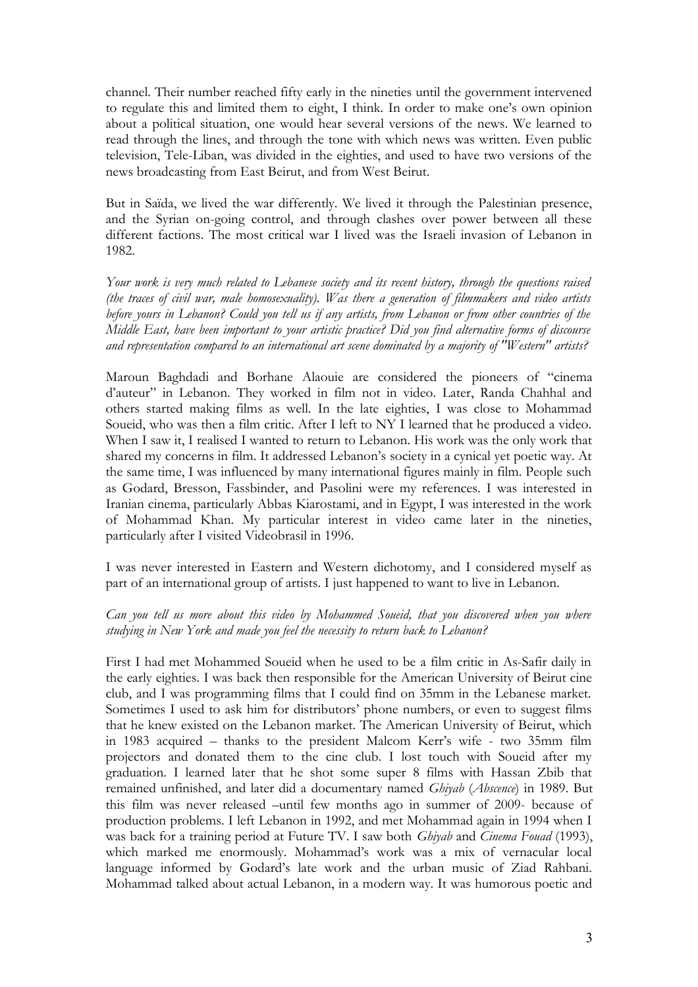channel. Their number reached fifty early in the nineties until the government intervened to regulate this and limited them to eight, I think. In order to make one's own opinion about a political situation, one would hear several versions of the news. We learned to read through the lines, and through the tone with which news was written. Even public television, Tele-Liban, was divided in the eighties, and used to have two versions of the news broadcasting from East Beirut, and from West Beirut.

But in Saïda, we lived the war differently. We lived it through the Palestinian presence, and the Syrian on-going control, and through clashes over power between all these different factions. The most critical war I lived was the Israeli invasion of Lebanon in 1982.

*Your work is very much related to Lebanese society and its recent history, through the questions raised (the traces of civil war, male homosexuality). Was there a generation of filmmakers and video artists before yours in Lebanon? Could you tell us if any artists, from Lebanon or from other countries of the Middle East, have been important to your artistic practice? Did you find alternative forms of discourse and representation compared to an international art scene dominated by a majority of "Western" artists?*

Maroun Baghdadi and Borhane Alaouie are considered the pioneers of "cinema d'auteur" in Lebanon. They worked in film not in video. Later, Randa Chahhal and others started making films as well. In the late eighties, I was close to Mohammad Soueid, who was then a film critic. After I left to NY I learned that he produced a video. When I saw it, I realised I wanted to return to Lebanon. His work was the only work that shared my concerns in film. It addressed Lebanon's society in a cynical yet poetic way. At the same time, I was influenced by many international figures mainly in film. People such as Godard, Bresson, Fassbinder, and Pasolini were my references. I was interested in Iranian cinema, particularly Abbas Kiarostami, and in Egypt, I was interested in the work of Mohammad Khan. My particular interest in video came later in the nineties, particularly after I visited Videobrasil in 1996.

I was never interested in Eastern and Western dichotomy, and I considered myself as part of an international group of artists. I just happened to want to live in Lebanon.

#### *Can you tell us more about this video by Mohammed Soueid, that you discovered when you where studying in New York and made you feel the necessity to return back to Lebanon?*

First I had met Mohammed Soueid when he used to be a film critic in As-Safir daily in the early eighties. I was back then responsible for the American University of Beirut cine club, and I was programming films that I could find on 35mm in the Lebanese market. Sometimes I used to ask him for distributors' phone numbers, or even to suggest films that he knew existed on the Lebanon market. The American University of Beirut, which in 1983 acquired – thanks to the president Malcom Kerr's wife - two 35mm film projectors and donated them to the cine club. I lost touch with Soueid after my graduation. I learned later that he shot some super 8 films with Hassan Zbib that remained unfinished, and later did a documentary named *Ghiyab* (*Abscence*) in 1989. But this film was never released –until few months ago in summer of 2009- because of production problems. I left Lebanon in 1992, and met Mohammad again in 1994 when I was back for a training period at Future TV. I saw both *Ghiyab* and *Cinema Fouad* (1993), which marked me enormously. Mohammad's work was a mix of vernacular local language informed by Godard's late work and the urban music of Ziad Rahbani. Mohammad talked about actual Lebanon, in a modern way. It was humorous poetic and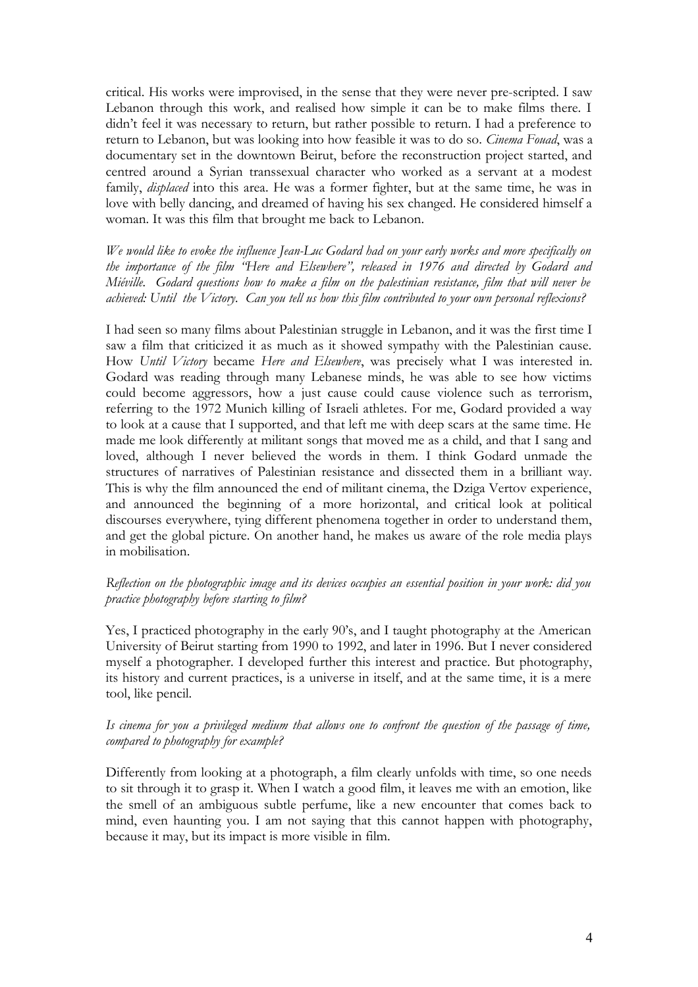critical. His works were improvised, in the sense that they were never pre-scripted. I saw Lebanon through this work, and realised how simple it can be to make films there. I didn't feel it was necessary to return, but rather possible to return. I had a preference to return to Lebanon, but was looking into how feasible it was to do so. *Cinema Fouad*, was a documentary set in the downtown Beirut, before the reconstruction project started, and centred around a Syrian transsexual character who worked as a servant at a modest family, *displaced* into this area. He was a former fighter, but at the same time, he was in love with belly dancing, and dreamed of having his sex changed. He considered himself a woman. It was this film that brought me back to Lebanon.

*We would like to evoke the influence Jean-Luc Godard had on your early works and more specifically on the importance of the film "Here and Elsewhere", released in 1976 and directed by Godard and Miéville. Godard questions how to make a film on the palestinian resistance, film that will never be achieved: Until the Victory. Can you tell us how this film contributed to your own personal reflexions?* 

I had seen so many films about Palestinian struggle in Lebanon, and it was the first time I saw a film that criticized it as much as it showed sympathy with the Palestinian cause. How *Until Victory* became *Here and Elsewhere*, was precisely what I was interested in. Godard was reading through many Lebanese minds, he was able to see how victims could become aggressors, how a just cause could cause violence such as terrorism, referring to the 1972 Munich killing of Israeli athletes. For me, Godard provided a way to look at a cause that I supported, and that left me with deep scars at the same time. He made me look differently at militant songs that moved me as a child, and that I sang and loved, although I never believed the words in them. I think Godard unmade the structures of narratives of Palestinian resistance and dissected them in a brilliant way. This is why the film announced the end of militant cinema, the Dziga Vertov experience, and announced the beginning of a more horizontal, and critical look at political discourses everywhere, tying different phenomena together in order to understand them, and get the global picture. On another hand, he makes us aware of the role media plays in mobilisation.

### *Reflection on the photographic image and its devices occupies an essential position in your work: did you practice photography before starting to film?*

Yes, I practiced photography in the early 90's, and I taught photography at the American University of Beirut starting from 1990 to 1992, and later in 1996. But I never considered myself a photographer. I developed further this interest and practice. But photography, its history and current practices, is a universe in itself, and at the same time, it is a mere tool, like pencil.

### *Is cinema for you a privileged medium that allows one to confront the question of the passage of time, compared to photography for example?*

Differently from looking at a photograph, a film clearly unfolds with time, so one needs to sit through it to grasp it. When I watch a good film, it leaves me with an emotion, like the smell of an ambiguous subtle perfume, like a new encounter that comes back to mind, even haunting you. I am not saying that this cannot happen with photography, because it may, but its impact is more visible in film.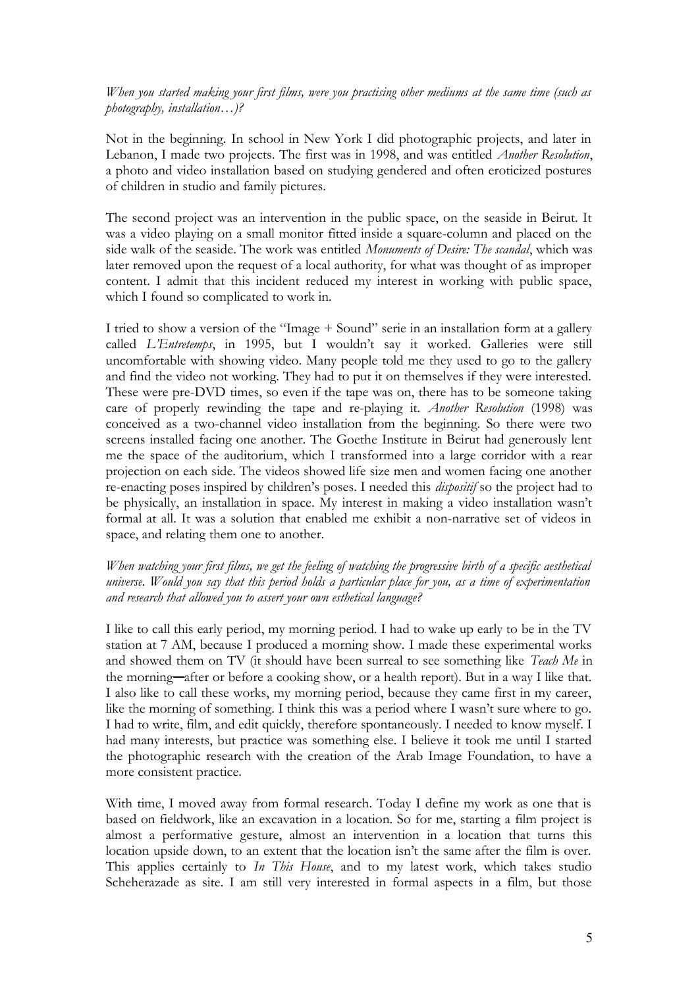*When you started making your first films, were you practising other mediums at the same time (such as photography, installation…)?* 

Not in the beginning. In school in New York I did photographic projects, and later in Lebanon, I made two projects. The first was in 1998, and was entitled *Another Resolution*, a photo and video installation based on studying gendered and often eroticized postures of children in studio and family pictures.

The second project was an intervention in the public space, on the seaside in Beirut. It was a video playing on a small monitor fitted inside a square-column and placed on the side walk of the seaside. The work was entitled *Monuments of Desire: The scandal*, which was later removed upon the request of a local authority, for what was thought of as improper content. I admit that this incident reduced my interest in working with public space, which I found so complicated to work in.

I tried to show a version of the "Image + Sound" serie in an installation form at a gallery called *L'Entretemps*, in 1995, but I wouldn't say it worked. Galleries were still uncomfortable with showing video. Many people told me they used to go to the gallery and find the video not working. They had to put it on themselves if they were interested. These were pre-DVD times, so even if the tape was on, there has to be someone taking care of properly rewinding the tape and re-playing it. *Another Resolution* (1998) was conceived as a two-channel video installation from the beginning. So there were two screens installed facing one another. The Goethe Institute in Beirut had generously lent me the space of the auditorium, which I transformed into a large corridor with a rear projection on each side. The videos showed life size men and women facing one another re-enacting poses inspired by children's poses. I needed this *dispositif* so the project had to be physically, an installation in space. My interest in making a video installation wasn't formal at all. It was a solution that enabled me exhibit a non-narrative set of videos in space, and relating them one to another.

### *When watching your first films, we get the feeling of watching the progressive birth of a specific aesthetical universe. Would you say that this period holds a particular place for you, as a time of experimentation and research that allowed you to assert your own esthetical language?*

I like to call this early period, my morning period. I had to wake up early to be in the TV station at 7 AM, because I produced a morning show. I made these experimental works and showed them on TV (it should have been surreal to see something like *Teach Me* in the morning—after or before a cooking show, or a health report). But in a way I like that. I also like to call these works, my morning period, because they came first in my career, like the morning of something. I think this was a period where I wasn't sure where to go. I had to write, film, and edit quickly, therefore spontaneously. I needed to know myself. I had many interests, but practice was something else. I believe it took me until I started the photographic research with the creation of the Arab Image Foundation, to have a more consistent practice.

With time, I moved away from formal research. Today I define my work as one that is based on fieldwork, like an excavation in a location. So for me, starting a film project is almost a performative gesture, almost an intervention in a location that turns this location upside down, to an extent that the location isn't the same after the film is over. This applies certainly to *In This House*, and to my latest work, which takes studio Scheherazade as site. I am still very interested in formal aspects in a film, but those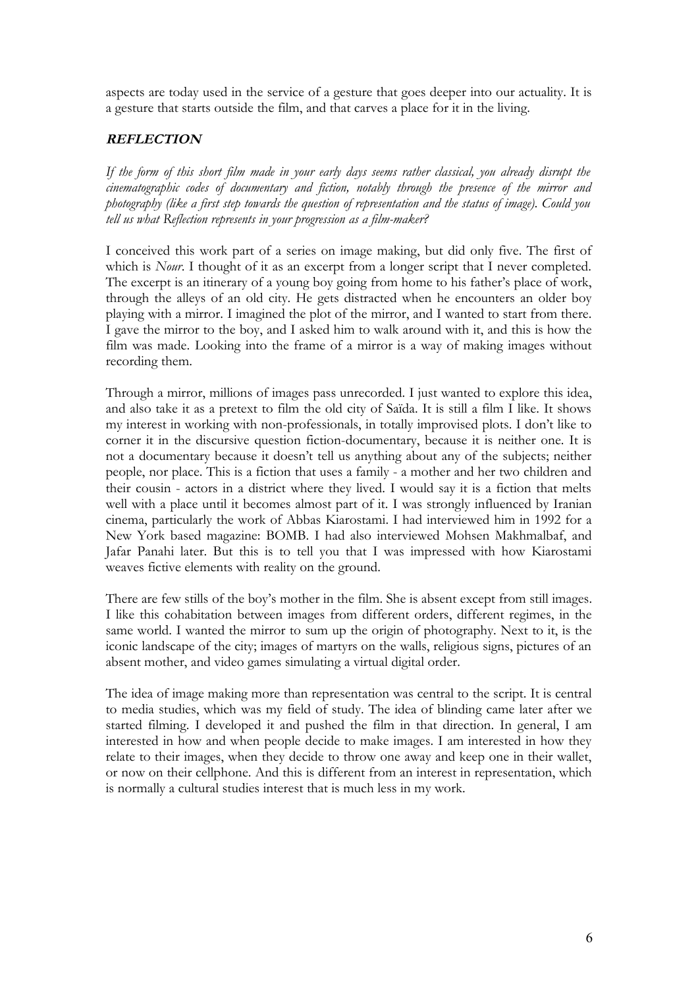aspects are today used in the service of a gesture that goes deeper into our actuality. It is a gesture that starts outside the film, and that carves a place for it in the living.

# **REFLECTION**

*If the form of this short film made in your early days seems rather classical, you already disrupt the cinematographic codes of documentary and fiction, notably through the presence of the mirror and photography (like a first step towards the question of representation and the status of image). Could you tell us what Reflection represents in your progression as a film-maker?*

I conceived this work part of a series on image making, but did only five. The first of which is *Nour*. I thought of it as an excerpt from a longer script that I never completed. The excerpt is an itinerary of a young boy going from home to his father's place of work, through the alleys of an old city. He gets distracted when he encounters an older boy playing with a mirror. I imagined the plot of the mirror, and I wanted to start from there. I gave the mirror to the boy, and I asked him to walk around with it, and this is how the film was made. Looking into the frame of a mirror is a way of making images without recording them.

Through a mirror, millions of images pass unrecorded. I just wanted to explore this idea, and also take it as a pretext to film the old city of Saïda. It is still a film I like. It shows my interest in working with non-professionals, in totally improvised plots. I don't like to corner it in the discursive question fiction-documentary, because it is neither one. It is not a documentary because it doesn't tell us anything about any of the subjects; neither people, nor place. This is a fiction that uses a family - a mother and her two children and their cousin - actors in a district where they lived. I would say it is a fiction that melts well with a place until it becomes almost part of it. I was strongly influenced by Iranian cinema, particularly the work of Abbas Kiarostami. I had interviewed him in 1992 for a New York based magazine: BOMB. I had also interviewed Mohsen Makhmalbaf, and Jafar Panahi later. But this is to tell you that I was impressed with how Kiarostami weaves fictive elements with reality on the ground.

There are few stills of the boy's mother in the film. She is absent except from still images. I like this cohabitation between images from different orders, different regimes, in the same world. I wanted the mirror to sum up the origin of photography. Next to it, is the iconic landscape of the city; images of martyrs on the walls, religious signs, pictures of an absent mother, and video games simulating a virtual digital order.

The idea of image making more than representation was central to the script. It is central to media studies, which was my field of study. The idea of blinding came later after we started filming. I developed it and pushed the film in that direction. In general, I am interested in how and when people decide to make images. I am interested in how they relate to their images, when they decide to throw one away and keep one in their wallet, or now on their cellphone. And this is different from an interest in representation, which is normally a cultural studies interest that is much less in my work.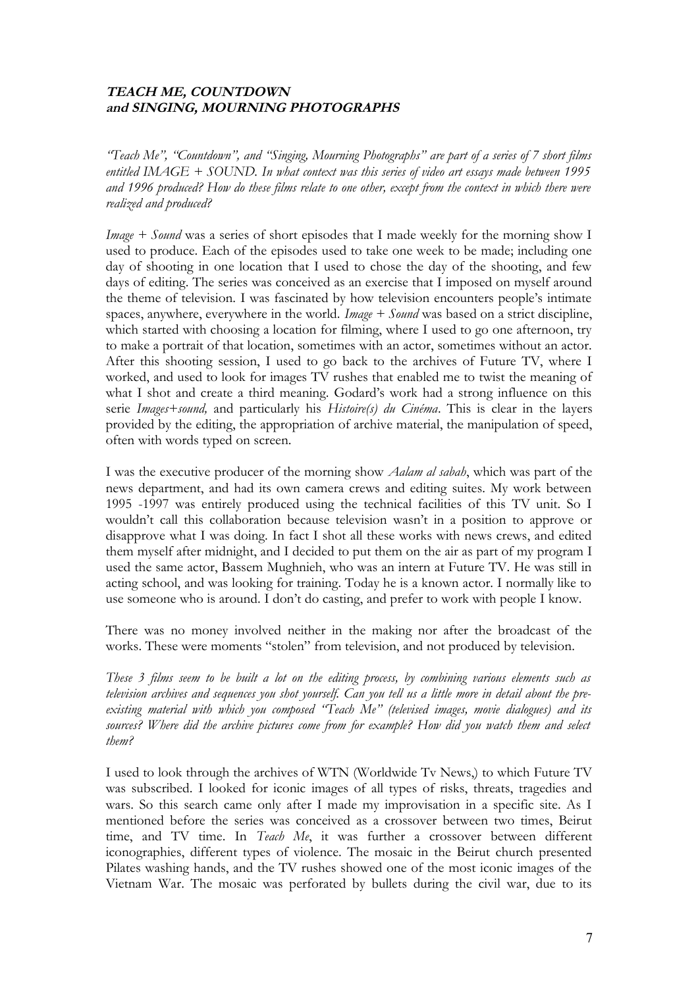# **TEACH ME, COUNTDOWN and SINGING, MOURNING PHOTOGRAPHS**

*"Teach Me", "Countdown", and "Singing, Mourning Photographs" are part of a series of 7 short films entitled IMAGE + SOUND. In what context was this series of video art essays made between 1995 and 1996 produced? How do these films relate to one other, except from the context in which there were realized and produced?*

*Image + Sound* was a series of short episodes that I made weekly for the morning show I used to produce. Each of the episodes used to take one week to be made; including one day of shooting in one location that I used to chose the day of the shooting, and few days of editing. The series was conceived as an exercise that I imposed on myself around the theme of television. I was fascinated by how television encounters people's intimate spaces, anywhere, everywhere in the world. *Image + Sound* was based on a strict discipline, which started with choosing a location for filming, where I used to go one afternoon, try to make a portrait of that location, sometimes with an actor, sometimes without an actor. After this shooting session, I used to go back to the archives of Future TV, where I worked, and used to look for images TV rushes that enabled me to twist the meaning of what I shot and create a third meaning. Godard's work had a strong influence on this serie *Images+sound,* and particularly his *Histoire(s) du Cinéma*. This is clear in the layers provided by the editing, the appropriation of archive material, the manipulation of speed, often with words typed on screen.

I was the executive producer of the morning show *Aalam al sabah*, which was part of the news department, and had its own camera crews and editing suites. My work between 1995 -1997 was entirely produced using the technical facilities of this TV unit. So I wouldn't call this collaboration because television wasn't in a position to approve or disapprove what I was doing. In fact I shot all these works with news crews, and edited them myself after midnight, and I decided to put them on the air as part of my program I used the same actor, Bassem Mughnieh, who was an intern at Future TV. He was still in acting school, and was looking for training. Today he is a known actor. I normally like to use someone who is around. I don't do casting, and prefer to work with people I know.

There was no money involved neither in the making nor after the broadcast of the works. These were moments "stolen" from television, and not produced by television.

*These 3 films seem to be built a lot on the editing process, by combining various elements such as television archives and sequences you shot yourself. Can you tell us a little more in detail about the preexisting material with which you composed "Teach Me" (televised images, movie dialogues) and its sources? Where did the archive pictures come from for example? How did you watch them and select them?*

I used to look through the archives of WTN (Worldwide Tv News,) to which Future TV was subscribed. I looked for iconic images of all types of risks, threats, tragedies and wars. So this search came only after I made my improvisation in a specific site. As I mentioned before the series was conceived as a crossover between two times, Beirut time, and TV time. In *Teach Me*, it was further a crossover between different iconographies, different types of violence. The mosaic in the Beirut church presented Pilates washing hands, and the TV rushes showed one of the most iconic images of the Vietnam War. The mosaic was perforated by bullets during the civil war, due to its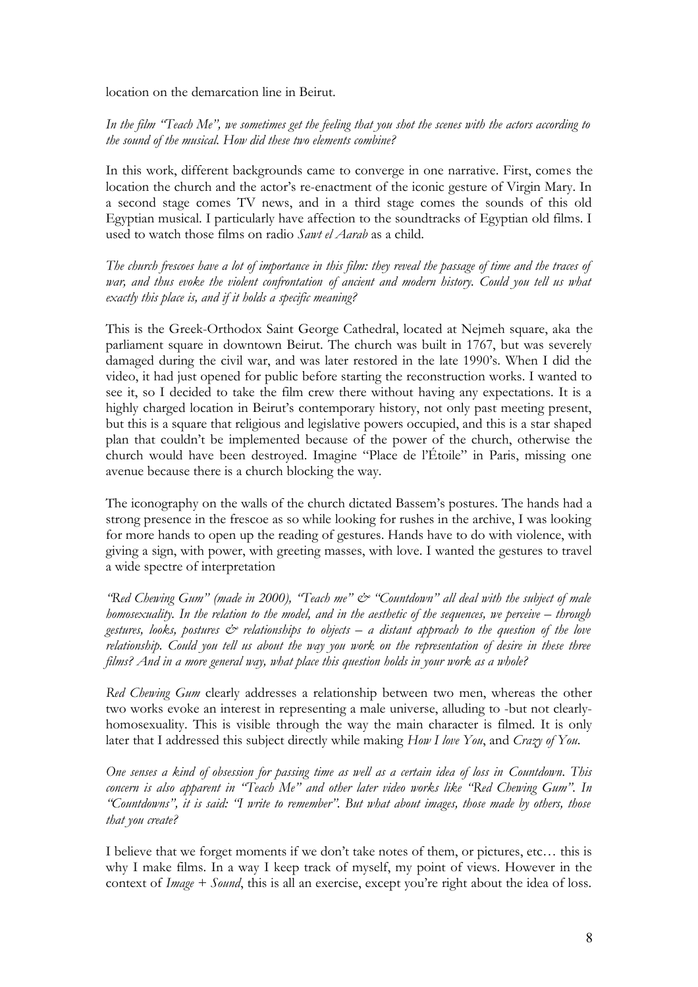location on the demarcation line in Beirut.

*In the film "Teach Me", we sometimes get the feeling that you shot the scenes with the actors according to the sound of the musical. How did these two elements combine?* 

In this work, different backgrounds came to converge in one narrative. First, comes the location the church and the actor's re-enactment of the iconic gesture of Virgin Mary. In a second stage comes TV news, and in a third stage comes the sounds of this old Egyptian musical. I particularly have affection to the soundtracks of Egyptian old films. I used to watch those films on radio *Sawt el Aarab* as a child.

*The church frescoes have a lot of importance in this film: they reveal the passage of time and the traces of war, and thus evoke the violent confrontation of ancient and modern history. Could you tell us what exactly this place is, and if it holds a specific meaning?*

This is the Greek-Orthodox Saint George Cathedral, located at Nejmeh square, aka the parliament square in downtown Beirut. The church was built in 1767, but was severely damaged during the civil war, and was later restored in the late 1990's. When I did the video, it had just opened for public before starting the reconstruction works. I wanted to see it, so I decided to take the film crew there without having any expectations. It is a highly charged location in Beirut's contemporary history, not only past meeting present, but this is a square that religious and legislative powers occupied, and this is a star shaped plan that couldn't be implemented because of the power of the church, otherwise the church would have been destroyed. Imagine "Place de l'Étoile" in Paris, missing one avenue because there is a church blocking the way.

The iconography on the walls of the church dictated Bassem's postures. The hands had a strong presence in the frescoe as so while looking for rushes in the archive, I was looking for more hands to open up the reading of gestures. Hands have to do with violence, with giving a sign, with power, with greeting masses, with love. I wanted the gestures to travel a wide spectre of interpretation

*"Red Chewing Gum" (made in 2000), "Teach me" & "Countdown" all deal with the subject of male homosexuality. In the relation to the model, and in the aesthetic of the sequences, we perceive – through gestures, looks, postures & relationships to objects – a distant approach to the question of the love relationship. Could you tell us about the way you work on the representation of desire in these three films? And in a more general way, what place this question holds in your work as a whole?*

*Red Chewing Gum* clearly addresses a relationship between two men, whereas the other two works evoke an interest in representing a male universe, alluding to -but not clearlyhomosexuality. This is visible through the way the main character is filmed. It is only later that I addressed this subject directly while making *How I love You*, and *Crazy of You*.

*One senses a kind of obsession for passing time as well as a certain idea of loss in Countdown. This concern is also apparent in "Teach Me" and other later video works like "Red Chewing Gum". In "Countdowns", it is said: "I write to remember". But what about images, those made by others, those that you create?*

I believe that we forget moments if we don't take notes of them, or pictures, etc… this is why I make films. In a way I keep track of myself, my point of views. However in the context of *Image + Sound*, this is all an exercise, except you're right about the idea of loss.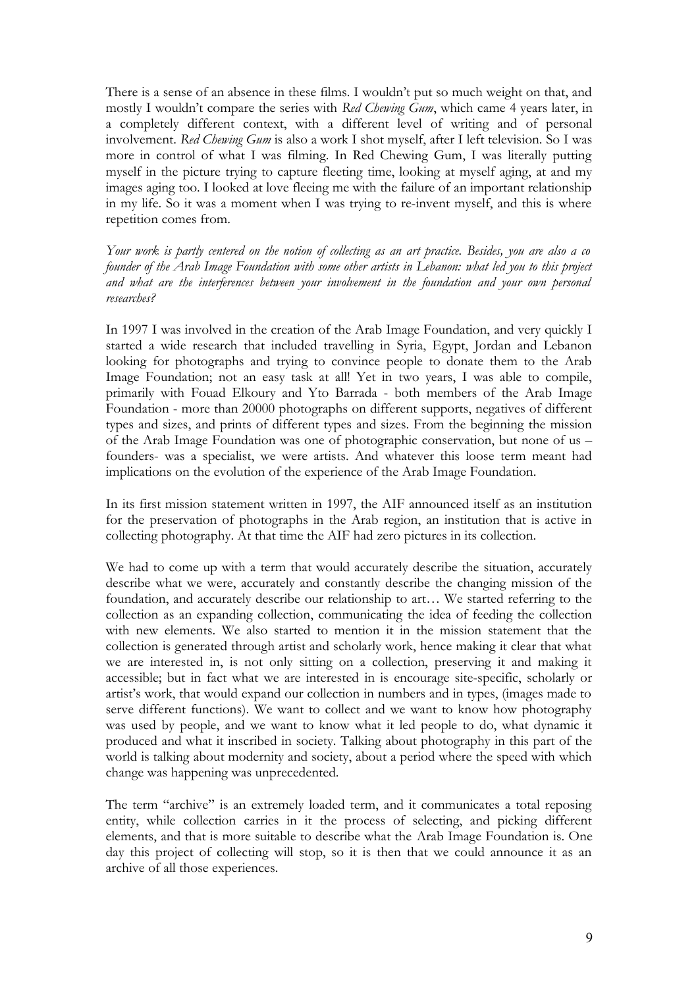There is a sense of an absence in these films. I wouldn't put so much weight on that, and mostly I wouldn't compare the series with *Red Chewing Gum*, which came 4 years later, in a completely different context, with a different level of writing and of personal involvement. *Red Chewing Gum* is also a work I shot myself, after I left television. So I was more in control of what I was filming. In Red Chewing Gum, I was literally putting myself in the picture trying to capture fleeting time, looking at myself aging, at and my images aging too. I looked at love fleeing me with the failure of an important relationship in my life. So it was a moment when I was trying to re-invent myself, and this is where repetition comes from.

*Your work is partly centered on the notion of collecting as an art practice. Besides, you are also a co founder of the Arab Image Foundation with some other artists in Lebanon: what led you to this project and what are the interferences between your involvement in the foundation and your own personal researches?*

In 1997 I was involved in the creation of the Arab Image Foundation, and very quickly I started a wide research that included travelling in Syria, Egypt, Jordan and Lebanon looking for photographs and trying to convince people to donate them to the Arab Image Foundation; not an easy task at all! Yet in two years, I was able to compile, primarily with Fouad Elkoury and Yto Barrada - both members of the Arab Image Foundation - more than 20000 photographs on different supports, negatives of different types and sizes, and prints of different types and sizes. From the beginning the mission of the Arab Image Foundation was one of photographic conservation, but none of us – founders- was a specialist, we were artists. And whatever this loose term meant had implications on the evolution of the experience of the Arab Image Foundation.

In its first mission statement written in 1997, the AIF announced itself as an institution for the preservation of photographs in the Arab region, an institution that is active in collecting photography. At that time the AIF had zero pictures in its collection.

We had to come up with a term that would accurately describe the situation, accurately describe what we were, accurately and constantly describe the changing mission of the foundation, and accurately describe our relationship to art… We started referring to the collection as an expanding collection, communicating the idea of feeding the collection with new elements. We also started to mention it in the mission statement that the collection is generated through artist and scholarly work, hence making it clear that what we are interested in, is not only sitting on a collection, preserving it and making it accessible; but in fact what we are interested in is encourage site-specific, scholarly or artist's work, that would expand our collection in numbers and in types, (images made to serve different functions). We want to collect and we want to know how photography was used by people, and we want to know what it led people to do, what dynamic it produced and what it inscribed in society. Talking about photography in this part of the world is talking about modernity and society, about a period where the speed with which change was happening was unprecedented.

The term "archive" is an extremely loaded term, and it communicates a total reposing entity, while collection carries in it the process of selecting, and picking different elements, and that is more suitable to describe what the Arab Image Foundation is. One day this project of collecting will stop, so it is then that we could announce it as an archive of all those experiences.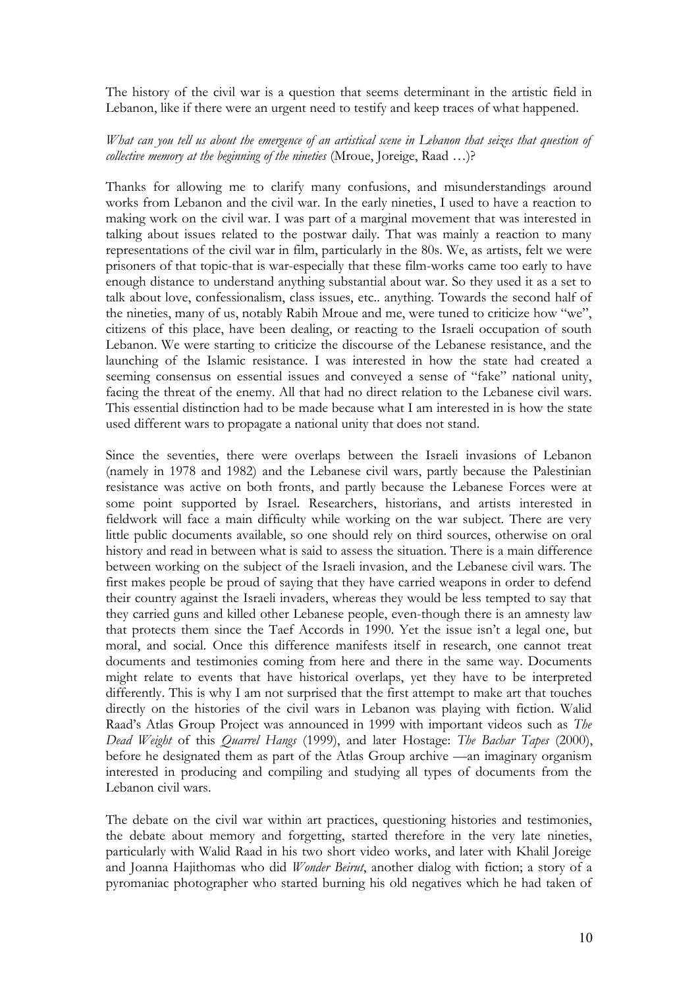The history of the civil war is a question that seems determinant in the artistic field in Lebanon, like if there were an urgent need to testify and keep traces of what happened.

## *What can you tell us about the emergence of an artistical scene in Lebanon that seizes that question of collective memory at the beginning of the nineties* (Mroue, Joreige, Raad ...)?

Thanks for allowing me to clarify many confusions, and misunderstandings around works from Lebanon and the civil war. In the early nineties, I used to have a reaction to making work on the civil war. I was part of a marginal movement that was interested in talking about issues related to the postwar daily. That was mainly a reaction to many representations of the civil war in film, particularly in the 80s. We, as artists, felt we were prisoners of that topic-that is war-especially that these film-works came too early to have enough distance to understand anything substantial about war. So they used it as a set to talk about love, confessionalism, class issues, etc.. anything. Towards the second half of the nineties, many of us, notably Rabih Mroue and me, were tuned to criticize how "we", citizens of this place, have been dealing, or reacting to the Israeli occupation of south Lebanon. We were starting to criticize the discourse of the Lebanese resistance, and the launching of the Islamic resistance. I was interested in how the state had created a seeming consensus on essential issues and conveyed a sense of "fake" national unity, facing the threat of the enemy. All that had no direct relation to the Lebanese civil wars. This essential distinction had to be made because what I am interested in is how the state used different wars to propagate a national unity that does not stand.

Since the seventies, there were overlaps between the Israeli invasions of Lebanon (namely in 1978 and 1982) and the Lebanese civil wars, partly because the Palestinian resistance was active on both fronts, and partly because the Lebanese Forces were at some point supported by Israel. Researchers, historians, and artists interested in fieldwork will face a main difficulty while working on the war subject. There are very little public documents available, so one should rely on third sources, otherwise on oral history and read in between what is said to assess the situation. There is a main difference between working on the subject of the Israeli invasion, and the Lebanese civil wars. The first makes people be proud of saying that they have carried weapons in order to defend their country against the Israeli invaders, whereas they would be less tempted to say that they carried guns and killed other Lebanese people, even-though there is an amnesty law that protects them since the Taef Accords in 1990. Yet the issue isn't a legal one, but moral, and social. Once this difference manifests itself in research, one cannot treat documents and testimonies coming from here and there in the same way. Documents might relate to events that have historical overlaps, yet they have to be interpreted differently. This is why I am not surprised that the first attempt to make art that touches directly on the histories of the civil wars in Lebanon was playing with fiction. Walid Raad's Atlas Group Project was announced in 1999 with important videos such as *The Dead Weight* of this *Quarrel Hangs* (1999), and later Hostage: *The Bachar Tapes* (2000), before he designated them as part of the Atlas Group archive —an imaginary organism interested in producing and compiling and studying all types of documents from the Lebanon civil wars.

The debate on the civil war within art practices, questioning histories and testimonies, the debate about memory and forgetting, started therefore in the very late nineties, particularly with Walid Raad in his two short video works, and later with Khalil Joreige and Joanna Hajithomas who did *Wonder Beirut*, another dialog with fiction; a story of a pyromaniac photographer who started burning his old negatives which he had taken of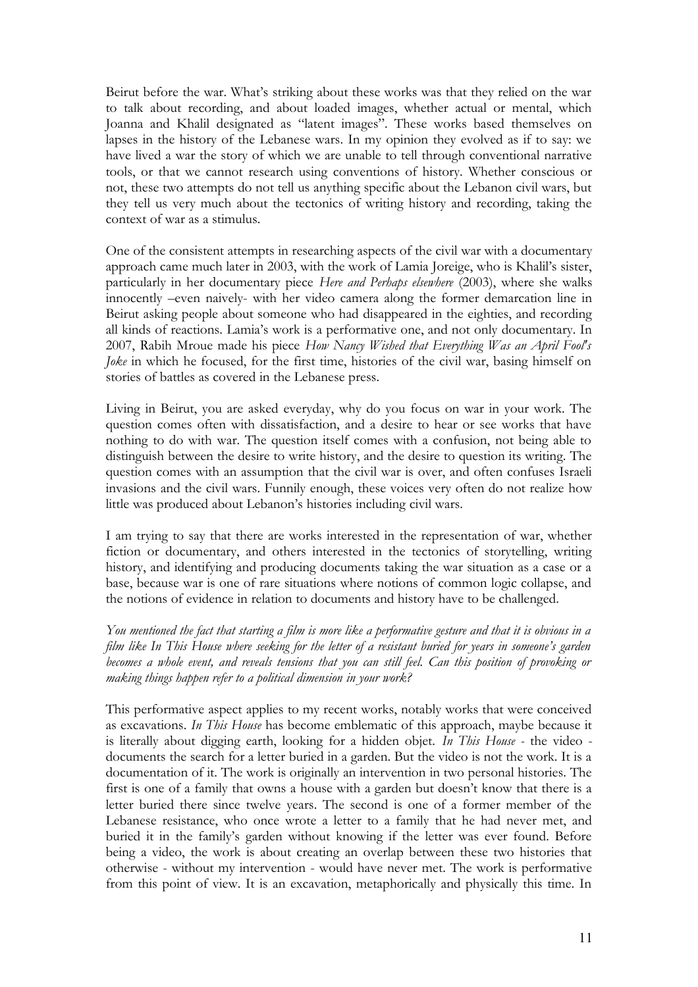Beirut before the war. What's striking about these works was that they relied on the war to talk about recording, and about loaded images, whether actual or mental, which Joanna and Khalil designated as "latent images". These works based themselves on lapses in the history of the Lebanese wars. In my opinion they evolved as if to say: we have lived a war the story of which we are unable to tell through conventional narrative tools, or that we cannot research using conventions of history. Whether conscious or not, these two attempts do not tell us anything specific about the Lebanon civil wars, but they tell us very much about the tectonics of writing history and recording, taking the context of war as a stimulus.

One of the consistent attempts in researching aspects of the civil war with a documentary approach came much later in 2003, with the work of Lamia Joreige, who is Khalil's sister, particularly in her documentary piece *Here and Perhaps elsewhere* (2003), where she walks innocently –even naively- with her video camera along the former demarcation line in Beirut asking people about someone who had disappeared in the eighties, and recording all kinds of reactions. Lamia's work is a performative one, and not only documentary. In 2007, Rabih Mroue made his piece *How Nancy Wished that Everything Was an April Fool's Joke* in which he focused, for the first time, histories of the civil war, basing himself on stories of battles as covered in the Lebanese press.

Living in Beirut, you are asked everyday, why do you focus on war in your work. The question comes often with dissatisfaction, and a desire to hear or see works that have nothing to do with war. The question itself comes with a confusion, not being able to distinguish between the desire to write history, and the desire to question its writing. The question comes with an assumption that the civil war is over, and often confuses Israeli invasions and the civil wars. Funnily enough, these voices very often do not realize how little was produced about Lebanon's histories including civil wars.

I am trying to say that there are works interested in the representation of war, whether fiction or documentary, and others interested in the tectonics of storytelling, writing history, and identifying and producing documents taking the war situation as a case or a base, because war is one of rare situations where notions of common logic collapse, and the notions of evidence in relation to documents and history have to be challenged.

*You mentioned the fact that starting a film is more like a performative gesture and that it is obvious in a film like In This House where seeking for the letter of a resistant buried for years in someone's garden becomes a whole event, and reveals tensions that you can still feel. Can this position of provoking or making things happen refer to a political dimension in your work?* 

This performative aspect applies to my recent works, notably works that were conceived as excavations. *In This House* has become emblematic of this approach, maybe because it is literally about digging earth, looking for a hidden objet. *In This House -* the video documents the search for a letter buried in a garden. But the video is not the work. It is a documentation of it. The work is originally an intervention in two personal histories. The first is one of a family that owns a house with a garden but doesn't know that there is a letter buried there since twelve years. The second is one of a former member of the Lebanese resistance, who once wrote a letter to a family that he had never met, and buried it in the family's garden without knowing if the letter was ever found. Before being a video, the work is about creating an overlap between these two histories that otherwise - without my intervention - would have never met. The work is performative from this point of view. It is an excavation, metaphorically and physically this time. In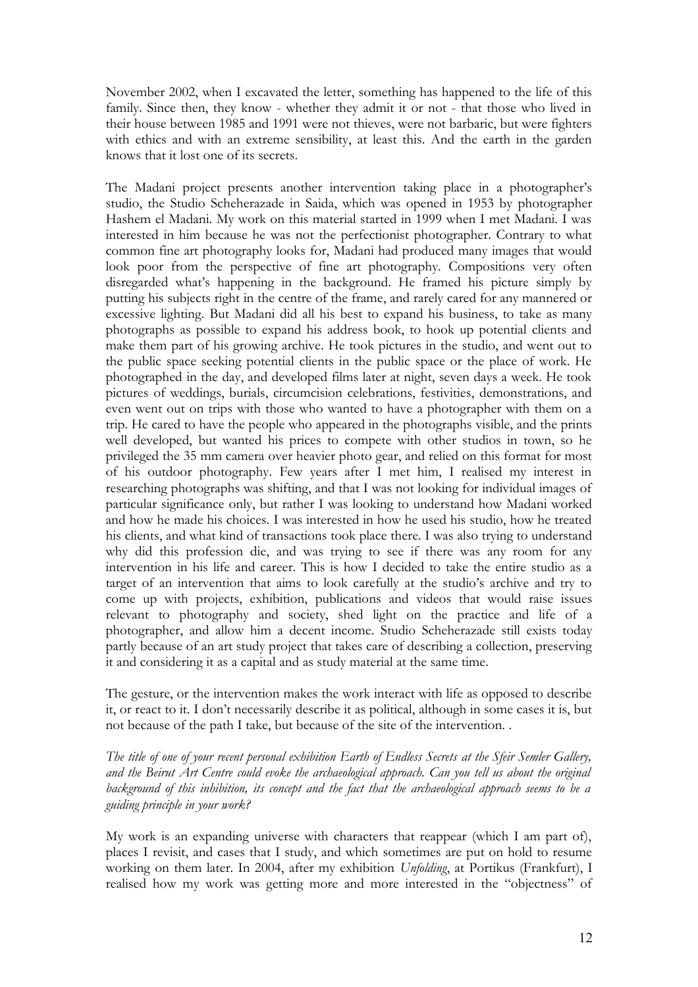November 2002, when I excavated the letter, something has happened to the life of this family. Since then, they know - whether they admit it or not - that those who lived in their house between 1985 and 1991 were not thieves, were not barbaric, but were fighters with ethics and with an extreme sensibility, at least this. And the earth in the garden knows that it lost one of its secrets.

The Madani project presents another intervention taking place in a photographer's studio, the Studio Scheherazade in Saida, which was opened in 1953 by photographer Hashem el Madani. My work on this material started in 1999 when I met Madani. I was interested in him because he was not the perfectionist photographer. Contrary to what common fine art photography looks for, Madani had produced many images that would look poor from the perspective of fine art photography. Compositions very often disregarded what's happening in the background. He framed his picture simply by putting his subjects right in the centre of the frame, and rarely cared for any mannered or excessive lighting. But Madani did all his best to expand his business, to take as many photographs as possible to expand his address book, to hook up potential clients and make them part of his growing archive. He took pictures in the studio, and went out to the public space seeking potential clients in the public space or the place of work. He photographed in the day, and developed films later at night, seven days a week. He took pictures of weddings, burials, circumcision celebrations, festivities, demonstrations, and even went out on trips with those who wanted to have a photographer with them on a trip. He cared to have the people who appeared in the photographs visible, and the prints well developed, but wanted his prices to compete with other studios in town, so he privileged the 35 mm camera over heavier photo gear, and relied on this format for most of his outdoor photography. Few years after I met him, I realised my interest in researching photographs was shifting, and that I was not looking for individual images of particular significance only, but rather I was looking to understand how Madani worked and how he made his choices. I was interested in how he used his studio, how he treated his clients, and what kind of transactions took place there. I was also trying to understand why did this profession die, and was trying to see if there was any room for any intervention in his life and career. This is how I decided to take the entire studio as a target of an intervention that aims to look carefully at the studio's archive and try to come up with projects, exhibition, publications and videos that would raise issues relevant to photography and society, shed light on the practice and life of a photographer, and allow him a decent income. Studio Scheherazade still exists today partly because of an art study project that takes care of describing a collection, preserving it and considering it as a capital and as study material at the same time.

The gesture, or the intervention makes the work interact with life as opposed to describe it, or react to it. I don't necessarily describe it as political, although in some cases it is, but not because of the path I take, but because of the site of the intervention. .

*The title of one of your recent personal exhibition Earth of Endless Secrets at the Sfeir Semler Gallery, and the Beirut Art Centre could evoke the archaeological approach. Can you tell us about the original background of this inhibition, its concept and the fact that the archaeological approach seems to be a guiding principle in your work?* 

My work is an expanding universe with characters that reappear (which I am part of), places I revisit, and cases that I study, and which sometimes are put on hold to resume working on them later. In 2004, after my exhibition *Unfolding*, at Portikus (Frankfurt), I realised how my work was getting more and more interested in the "objectness" of